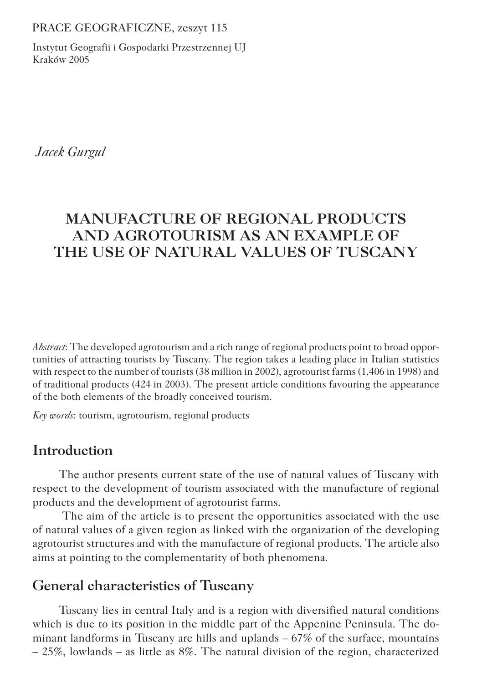PRACE GEOGRAFICZNE, zeszyt 115

Instytut Geografii i Gospodarki Przestrzennej UJ Kraków 2005

 *Jacek Gurgul*

# **MANUFACTURE OF REGIONAL PRODUCTS AND AGROTOURISM AS AN EXAMPLE OF THE USE OF NATURAL VALUES OF TUSCANY**

*Abstract*: The developed agrotourism and a rich range of regional products point to broad opportunities of attracting tourists by Tuscany. The region takes a leading place in Italian statistics with respect to the number of tourists (38 million in 2002), agrotourist farms (1,406 in 1998) and of traditional products (424 in 2003). The present article conditions favouring the appearance of the both elements of the broadly conceived tourism.

*Key words*: tourism, agrotourism, regional products

## **Introduction**

The author presents current state of the use of natural values of Tuscany with respect to the development of tourism associated with the manufacture of regional products and the development of agrotourist farms.

 The aim of the article is to present the opportunities associated with the use of natural values of a given region as linked with the organization of the developing agrotourist structures and with the manufacture of regional products. The article also aims at pointing to the complementarity of both phenomena.

### **General characteristics of Tuscany**

Tuscany lies in central Italy and is a region with diversified natural conditions which is due to its position in the middle part of the Appenine Peninsula. The dominant landforms in Tuscany are hills and uplands – 67% of the surface, mountains – 25%, lowlands – as little as 8%. The natural division of the region, characterized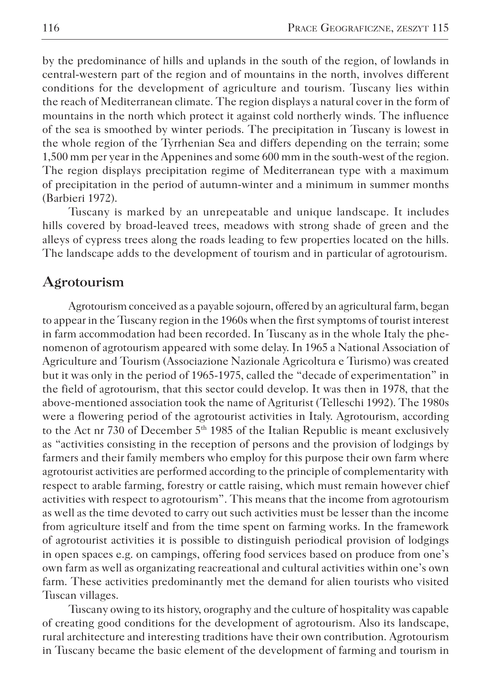by the predominance of hills and uplands in the south of the region, of lowlands in central-western part of the region and of mountains in the north, involves different conditions for the development of agriculture and tourism. Tuscany lies within the reach of Mediterranean climate. The region displays a natural cover in the form of mountains in the north which protect it against cold northerly winds. The influence of the sea is smoothed by winter periods. The precipitation in Tuscany is lowest in the whole region of the Tyrrhenian Sea and differs depending on the terrain; some 1,500 mm per year in the Appenines and some 600 mm in the south-west of the region. The region displays precipitation regime of Mediterranean type with a maximum of precipitation in the period of autumn-winter and a minimum in summer months (Barbieri 1972).

Tuscany is marked by an unrepeatable and unique landscape. It includes hills covered by broad-leaved trees, meadows with strong shade of green and the alleys of cypress trees along the roads leading to few properties located on the hills. The landscape adds to the development of tourism and in particular of agrotourism.

### **Agrotourism**

Agrotourism conceived as a payable sojourn, offered by an agricultural farm, began to appear in the Tuscany region in the 1960s when the first symptoms of tourist interest in farm accommodation had been recorded. In Tuscany as in the whole Italy the phenomenon of agrotourism appeared with some delay. In 1965 a National Association of Agriculture and Tourism (Associazione Nazionale Agricoltura e Turismo) was created but it was only in the period of 1965-1975, called the "decade of experimentation" in the field of agrotourism, that this sector could develop. It was then in 1978, that the above-mentioned association took the name of Agriturist (Telleschi 1992). The 1980s were a flowering period of the agrotourist activities in Italy. Agrotourism, according to the Act nr 730 of December  $5<sup>th</sup>$  1985 of the Italian Republic is meant exclusively as "activities consisting in the reception of persons and the provision of lodgings by farmers and their family members who employ for this purpose their own farm where agrotourist activities are performed according to the principle of complementarity with respect to arable farming, forestry or cattle raising, which must remain however chief activities with respect to agrotourism". This means that the income from agrotourism as well as the time devoted to carry out such activities must be lesser than the income from agriculture itself and from the time spent on farming works. In the framework of agrotourist activities it is possible to distinguish periodical provision of lodgings in open spaces e.g. on campings, offering food services based on produce from one's own farm as well as organizating reacreational and cultural activities within one's own farm. These activities predominantly met the demand for alien tourists who visited Tuscan villages.

Tuscany owing to its history, orography and the culture of hospitality was capable of creating good conditions for the development of agrotourism. Also its landscape, rural architecture and interesting traditions have their own contribution. Agrotourism in Tuscany became the basic element of the development of farming and tourism in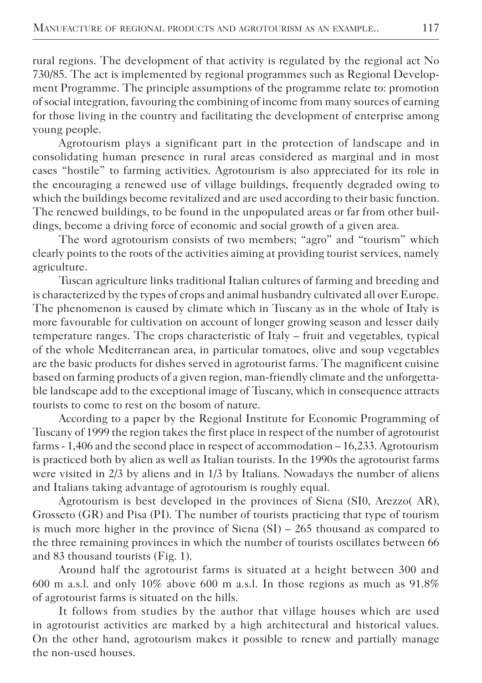rural regions. The development of that activity is regulated by the regional act No 730/85. The act is implemented by regional programmes such as Regional Development Programme. The principle assumptions of the programme relate to: promotion of social integration, favouring the combining of income from many sources of earning for those living in the country and facilitating the development of enterprise among young people.

Agrotourism plays a significant part in the protection of landscape and in consolidating human presence in rural areas considered as marginal and in most cases "hostile" to farming activities. Agrotourism is also appreciated for its role in the encouraging a renewed use of village buildings, frequently degraded owing to which the buildings become revitalized and are used according to their basic function. The renewed buildings, to be found in the unpopulated areas or far from other buildings, become a driving force of economic and social growth of a given area.

The word agrotourism consists of two members; "agro" and "tourism" which clearly points to the roots of the activities aiming at providing tourist services, namely agriculture.

Tuscan agriculture links traditional Italian cultures of farming and breeding and is characterized by the types of crops and animal husbandry cultivated all over Europe. The phenomenon is caused by climate which in Tuscany as in the whole of Italy is more favourable for cultivation on account of longer growing season and lesser daily temperature ranges. The crops characteristic of Italy – fruit and vegetables, typical of the whole Mediterranean area, in particular tomatoes, olive and soup vegetables are the basic products for dishes served in agrotourist farms. The magnificent cuisine based on farming products of a given region, man-friendly climate and the unforgettable landscape add to the exceptional image of Tuscany, which in consequence attracts tourists to come to rest on the bosom of nature.

According to a paper by the Regional Institute for Economic Programming of Tuscany of 1999 the region takes the first place in respect of the number of agrotourist farms - 1,406 and the second place in respect of accommodation – 16,233. Agrotourism is practiced both by alien as well as Italian tourists. In the 1990s the agrotourist farms were visited in 2/3 by aliens and in 1/3 by Italians. Nowadays the number of aliens and Italians taking advantage of agrotourism is roughly equal.

Agrotourism is best developed in the provinces of Siena (SI0, Arezzo( AR), Grosseto (GR) and Pisa (PI). The number of tourists practicing that type of tourism is much more higher in the province of Siena  $(SI) - 265$  thousand as compared to the three remaining provinces in which the number of tourists oscillates between 66 and 83 thousand tourists (Fig. 1).

Around half the agrotourist farms is situated at a height between 300 and 600 m a.s.l. and only 10% above 600 m a.s.l. In those regions as much as  $91.8\%$ of agrotourist farms is situated on the hills.

It follows from studies by the author that village houses which are used in agrotourist activities are marked by a high architectural and historical values. On the other hand, agrotourism makes it possible to renew and partially manage the non-used houses.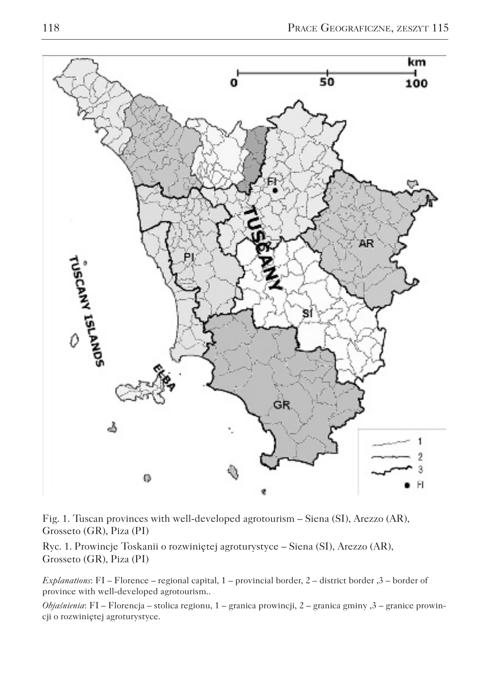

Fig. 1. Tuscan provinces with well-developed agrotourism – Siena (SI), Arezzo (AR), Grosseto (GR), Piza (PI)

Ryc. 1. Prowincje Toskanii o rozwiniętej agroturystyce – Siena (SI), Arezzo (AR), Grosseto (GR), Piza (PI)

*Explanations*: FI – Florence – regional capital, 1 – provincial border, 2 – district border ,3 – border of province with well-developed agrotourism..

*Objaśnienia*: FI – Florencja – stolica regionu, 1 – granica prowincji, 2 – granica gminy ,3 – granice prowincji o rozwiniętej agroturystyce.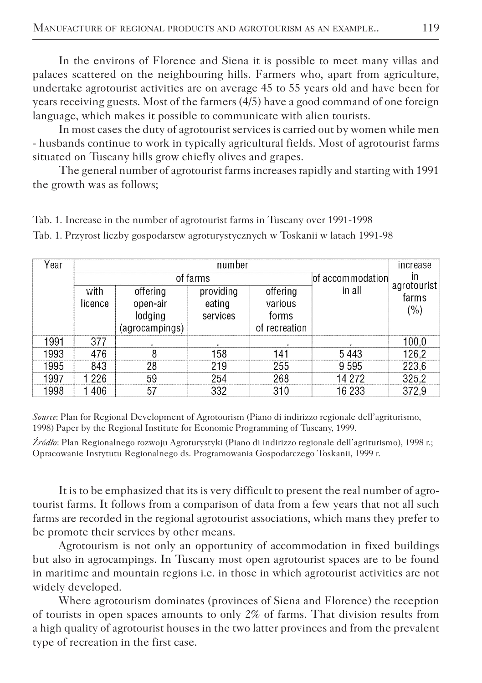In the environs of Florence and Siena it is possible to meet many villas and palaces scattered on the neighbouring hills. Farmers who, apart from agriculture, undertake agrotourist activities are on average 45 to 55 years old and have been for years receiving guests. Most of the farmers (4/5) have a good command of one foreign language, which makes it possible to communicate with alien tourists.

In most cases the duty of agrotourist services is carried out by women while men - husbands continue to work in typically agricultural fields. Most of agrotourist farms situated on Tuscany hills grow chiefly olives and grapes.

The general number of agrotourist farms increases rapidly and starting with 1991 the growth was as follows;

| Year | number                        |                |           |               |        | increase             |
|------|-------------------------------|----------------|-----------|---------------|--------|----------------------|
|      | of farms<br>lof accommodation |                |           |               | ın     |                      |
|      | with                          | offering       | providing | offering      | in all | agrotourist<br>farms |
|      | licence                       | open-air       | eating    | various       |        | (%)                  |
|      |                               | lodging        | services  | forms         |        |                      |
|      |                               | (agrocampings) |           | of recreation |        |                      |
| 1991 | 377                           |                |           |               |        | 100,0                |
| 1993 | 476                           | 8              | 158       | 141           | 5443   | 126,2                |
| 1995 | 843                           | 28             | 219       | 255           | 9595   | 223,6                |
| 1997 | 1 226                         | 59             | 254       | 268           | 14 272 | 325,2                |
| 1998 | 406                           | 57             | 332       | 310           | 16 233 | 372,9                |

Tab. 1. Increase in the number of agrotourist farms in Tuscany over 1991-1998 Tab. 1. Przyrost liczby gospodarstw agroturystycznych w Toskanii w latach 1991-98

*Source*: Plan for Regional Development of Agrotourism (Piano di indirizzo regionale dell'agriturismo, 1998) Paper by the Regional Institute for Economic Programming of Tuscany, 1999.

*Źródło*: Plan Regionalnego rozwoju Agroturystyki (Piano di indirizzo regionale dell'agriturismo), 1998 r.; Opracowanie Instytutu Regionalnego ds. Programowania Gospodarczego Toskanii, 1999 r.

It is to be emphasized that its is very difficult to present the real number of agrotourist farms. It follows from a comparison of data from a few years that not all such farms are recorded in the regional agrotourist associations, which mans they prefer to be promote their services by other means.

Agrotourism is not only an opportunity of accommodation in fixed buildings but also in agrocampings. In Tuscany most open agrotourist spaces are to be found in maritime and mountain regions i.e. in those in which agrotourist activities are not widely developed.

Where agrotourism dominates (provinces of Siena and Florence) the reception of tourists in open spaces amounts to only 2% of farms. That division results from a high quality of agrotourist houses in the two latter provinces and from the prevalent type of recreation in the first case.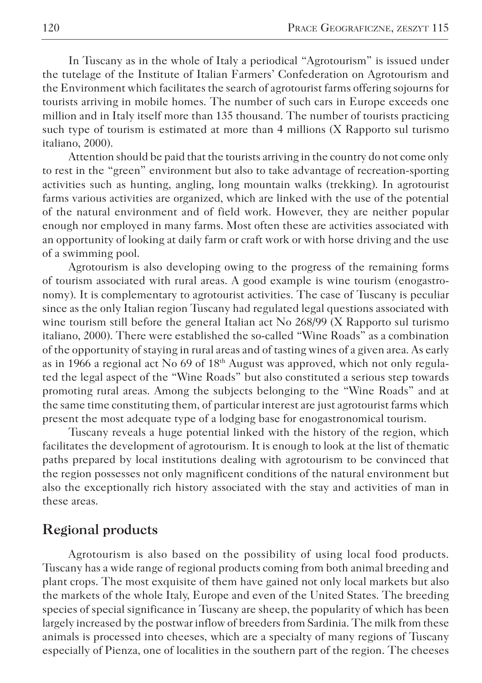In Tuscany as in the whole of Italy a periodical "Agrotourism" is issued under the tutelage of the Institute of Italian Farmers' Confederation on Agrotourism and the Environment which facilitates the search of agrotourist farms offering sojourns for tourists arriving in mobile homes. The number of such cars in Europe exceeds one million and in Italy itself more than 135 thousand. The number of tourists practicing such type of tourism is estimated at more than 4 millions (X Rapporto sul turismo italiano, 2000).

Attention should be paid that the tourists arriving in the country do not come only to rest in the "green" environment but also to take advantage of recreation-sporting activities such as hunting, angling, long mountain walks (trekking). In agrotourist farms various activities are organized, which are linked with the use of the potential of the natural environment and of field work. However, they are neither popular enough nor employed in many farms. Most often these are activities associated with an opportunity of looking at daily farm or craft work or with horse driving and the use of a swimming pool.

Agrotourism is also developing owing to the progress of the remaining forms of tourism associated with rural areas. A good example is wine tourism (enogastronomy). It is complementary to agrotourist activities. The case of Tuscany is peculiar since as the only Italian region Tuscany had regulated legal questions associated with wine tourism still before the general Italian act No 268/99 (X Rapporto sul turismo italiano, 2000). There were established the so-called "Wine Roads" as a combination of the opportunity of staying in rural areas and of tasting wines of a given area. As early as in 1966 a regional act No 69 of 18th August was approved, which not only regulated the legal aspect of the "Wine Roads" but also constituted a serious step towards promoting rural areas. Among the subjects belonging to the "Wine Roads" and at the same time constituting them, of particular interest are just agrotourist farms which present the most adequate type of a lodging base for enogastronomical tourism.

Tuscany reveals a huge potential linked with the history of the region, which facilitates the development of agrotourism. It is enough to look at the list of thematic paths prepared by local institutions dealing with agrotourism to be convinced that the region possesses not only magnificent conditions of the natural environment but also the exceptionally rich history associated with the stay and activities of man in these areas.

### **Regional products**

Agrotourism is also based on the possibility of using local food products. Tuscany has a wide range of regional products coming from both animal breeding and plant crops. The most exquisite of them have gained not only local markets but also the markets of the whole Italy, Europe and even of the United States. The breeding species of special significance in Tuscany are sheep, the popularity of which has been largely increased by the postwar inflow of breeders from Sardinia. The milk from these animals is processed into cheeses, which are a specialty of many regions of Tuscany especially of Pienza, one of localities in the southern part of the region. The cheeses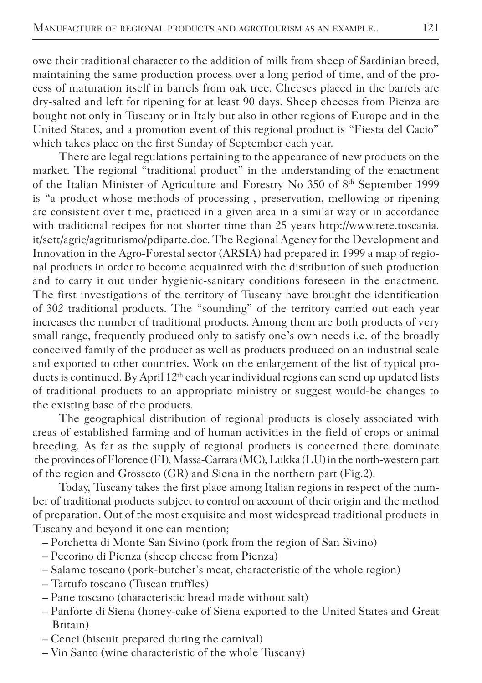owe their traditional character to the addition of milk from sheep of Sardinian breed, maintaining the same production process over a long period of time, and of the process of maturation itself in barrels from oak tree. Cheeses placed in the barrels are dry-salted and left for ripening for at least 90 days. Sheep cheeses from Pienza are bought not only in Tuscany or in Italy but also in other regions of Europe and in the United States, and a promotion event of this regional product is "Fiesta del Cacio" which takes place on the first Sunday of September each year.

There are legal regulations pertaining to the appearance of new products on the market. The regional "traditional product" in the understanding of the enactment of the Italian Minister of Agriculture and Forestry No 350 of 8<sup>th</sup> September 1999 is "a product whose methods of processing , preservation, mellowing or ripening are consistent over time, practiced in a given area in a similar way or in accordance with traditional recipes for not shorter time than 25 years http://www.rete.toscania. it/sett/agric/agriturismo/pdiparte.doc. The Regional Agency for the Development and Innovation in the Agro-Forestal sector (ARSIA) had prepared in 1999 a map of regional products in order to become acquainted with the distribution of such production and to carry it out under hygienic-sanitary conditions foreseen in the enactment. The first investigations of the territory of Tuscany have brought the identification of 302 traditional products. The "sounding" of the territory carried out each year increases the number of traditional products. Among them are both products of very small range, frequently produced only to satisfy one's own needs i.e. of the broadly conceived family of the producer as well as products produced on an industrial scale and exported to other countries. Work on the enlargement of the list of typical products is continued. By April  $12<sup>th</sup>$  each year individual regions can send up updated lists of traditional products to an appropriate ministry or suggest would-be changes to the existing base of the products.

The geographical distribution of regional products is closely associated with areas of established farming and of human activities in the field of crops or animal breeding. As far as the supply of regional products is concerned there dominate the provinces of Florence (FI), Massa-Carrara (MC), Lukka (LU) in the north-western part of the region and Grosseto (GR) and Siena in the northern part (Fig.2).

Today, Tuscany takes the first place among Italian regions in respect of the number of traditional products subject to control on account of their origin and the method of preparation. Out of the most exquisite and most widespread traditional products in Tuscany and beyond it one can mention;

- Porchetta di Monte San Sivino (pork from the region of San Sivino)
- Pecorino di Pienza (sheep cheese from Pienza)
- Salame toscano (pork-butcher's meat, characteristic of the whole region)
- Tartufo toscano (Tuscan truffles)
- Pane toscano (characteristic bread made without salt)
- Panforte di Siena (honey-cake of Siena exported to the United States and Great Britain)
- Cenci (biscuit prepared during the carnival)
- Vin Santo (wine characteristic of the whole Tuscany)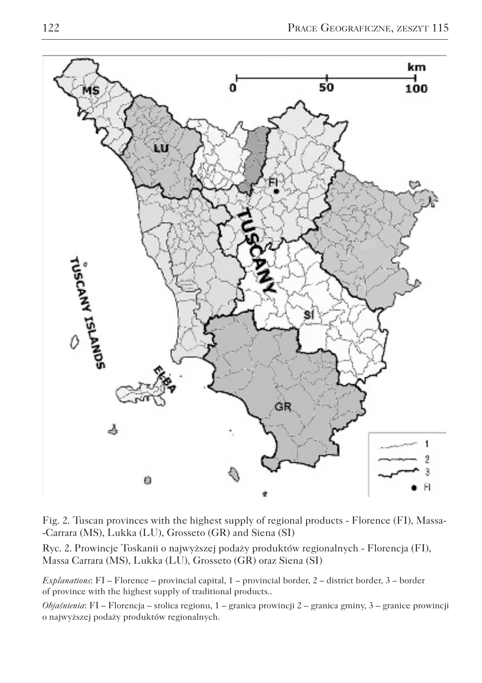

Fig. 2. Tuscan provinces with the highest supply of regional products - Florence (FI), Massa- -Carrara (MS), Lukka (LU), Grosseto (GR) and Siena (SI)

Ryc. 2. Prowincje Toskanii o najwyższej podaży produktów regionalnych - Florencja (FI), Massa Carrara (MS), Lukka (LU), Grosseto (GR) oraz Siena (SI)

*Explanations*: FI – Florence – provincial capital, 1 – provincial border, 2 – district border, 3 – border of province with the highest supply of traditional products..

*Objaśnienia*: FI – Florencja – srolica regionu, 1 – granica prowincji 2 – granica gminy, 3 – granice prowincji o najwyższej podaży produktów regionalnych.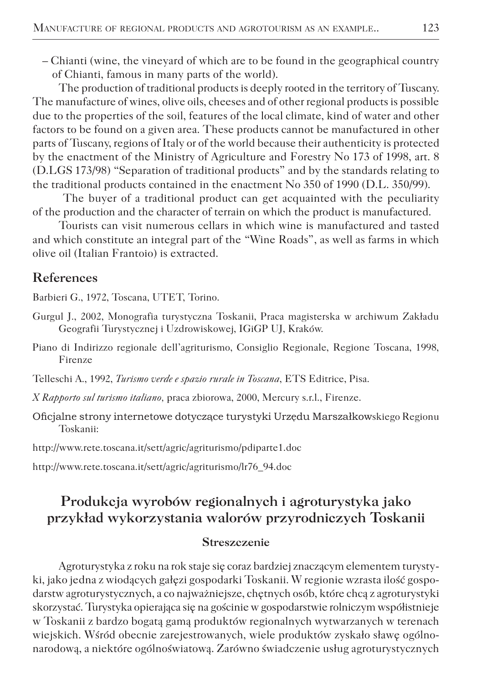– Chianti (wine, the vineyard of which are to be found in the geographical country of Chianti, famous in many parts of the world).

The production of traditional products is deeply rooted in the territory of Tuscany. The manufacture of wines, olive oils, cheeses and of other regional products is possible due to the properties of the soil, features of the local climate, kind of water and other factors to be found on a given area. These products cannot be manufactured in other parts of Tuscany, regions of Italy or of the world because their authenticity is protected by the enactment of the Ministry of Agriculture and Forestry No 173 of 1998, art. 8 (D.LGS 173/98) "Separation of traditional products" and by the standards relating to the traditional products contained in the enactment No 350 of 1990 (D.L. 350/99).

 The buyer of a traditional product can get acquainted with the peculiarity of the production and the character of terrain on which the product is manufactured.

Tourists can visit numerous cellars in which wine is manufactured and tasted and which constitute an integral part of the "Wine Roads", as well as farms in which olive oil (Italian Frantoio) is extracted.

#### **References**

Barbieri G., 1972, Toscana, UTET, Torino.

- Gurgul J., 2002, Monografia turystyczna Toskanii, Praca magisterska w archiwum Zakładu Geografii Turystycznej i Uzdrowiskowej, IGiGP UJ, Kraków.
- Piano di Indirizzo regionale dell'agriturismo, Consiglio Regionale, Regione Toscana, 1998, Firenze

Telleschi A., 1992, *Turismo verde e spazio rurale in Toscana*, ETS Editrice, Pisa.

- *X Rapporto sul turismo italiano,* praca zbiorowa, 2000, Mercury s.r.l., Firenze.
- Oficjalne strony internetowe dotyczące turystyki Urzędu Marszałkowskiego Regionu Toskanii:

http://www.rete.toscana.it/sett/agric/agriturismo/pdiparte1.doc

http://www.rete.toscana.it/sett/agric/agriturismo/lr76\_94.doc

## **Produkcja wyrobów regionalnych i agroturystyka jako przykład wykorzystania walorów przyrodniczych Toskanii**

#### **Streszczenie**

Agroturystyka z roku na rok staje się coraz bardziej znaczącym elementem turystyki, jako jedna z wiodących gałęzi gospodarki Toskanii. W regionie wzrasta ilość gospodarstw agroturystycznych, a co najważniejsze, chętnych osób, które chcą z agroturystyki skorzystać. Turystyka opierająca się na gościnie w gospodarstwie rolniczym współistnieje w Toskanii z bardzo bogatą gamą produktów regionalnych wytwarzanych w terenach wiejskich. Wśród obecnie zarejestrowanych, wiele produktów zyskało sławę ogólnonarodową, a niektóre ogólnoświatową. Zarówno świadczenie usług agroturystycznych